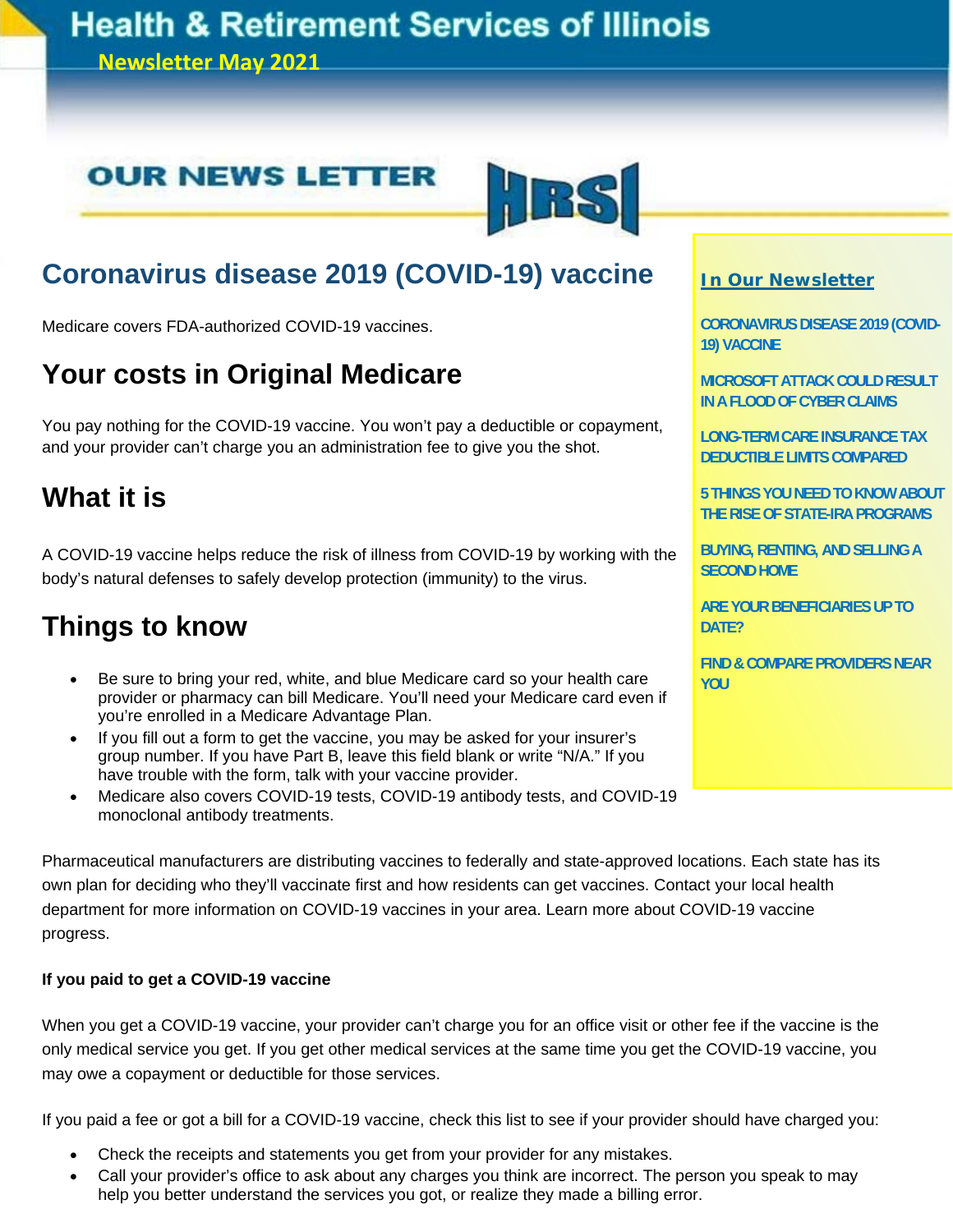## **Health & Retirement Services of Illinois**

**Newsletter May 2021**

## **OUR NEWS LETTER**



## **Coronavirus disease 2019 (COVID-19) vaccine**

Medicare covers FDA-authorized COVID-19 vaccines.

## **Your costs in Original Medicare**

You pay nothing for the COVID-19 vaccine. You won't pay a deductible or copayment, and your provider can't charge you an administration fee to give you the shot.

## **What it is**

A COVID-19 vaccine helps reduce the risk of illness from COVID-19 by working with the body's natural defenses to safely develop protection (immunity) to the virus.

## **Things to know**

- Be sure to bring your red, white, and blue Medicare card so your health care provider or pharmacy can bill Medicare. You'll need your Medicare card even if you're enrolled in a Medicare Advantage Plan.
- If you fill out a form to get the vaccine, you may be asked for your insurer's group number. If you have Part B, leave this field blank or write "N/A." If you have trouble with the form, talk with your vaccine provider.
- Medicare also covers COVID-19 tests, COVID-19 antibody tests, and COVID-19 monoclonal antibody treatments.

### **In Our Newsletter**

**CORONAVIRUS DISEASE 2019 (COVID-19) VACCINE** 

**MICROSOFT ATTACK COULD RESULT IN A FLOOD OF CYBER CLAIMS** 

**LONG-TERM CARE INSURANCE TAX DEDUCTIBLE LIMITS COMPARED** 

**5 THINGS YOU NEED TO KNOW ABOUT THE RISE OF STATE-IRA PROGRAMS** 

**BUYING, RENTING, AND SELLING A SECOND HOME** 

**ARE YOUR BENEFICIARIES UP TO DATE?** 

**FIND & COMPARE PROVIDERS NEAR YOU**

Pharmaceutical manufacturers are distributing vaccines to federally and state-approved locations. Each state has its own plan for deciding who they'll vaccinate first and how residents can get vaccines. Contact your local health department for more information on COVID-19 vaccines in your area. Learn more about COVID-19 vaccine progress.

#### **If you paid to get a COVID-19 vaccine**

When you get a COVID-19 vaccine, your provider can't charge you for an office visit or other fee if the vaccine is the only medical service you get. If you get other medical services at the same time you get the COVID-19 vaccine, you may owe a copayment or deductible for those services.

If you paid a fee or got a bill for a COVID-19 vaccine, check this list to see if your provider should have charged you:

- Check the receipts and statements you get from your provider for any mistakes.
- Call your provider's office to ask about any charges you think are incorrect. The person you speak to may help you better understand the services you got, or realize they made a billing error.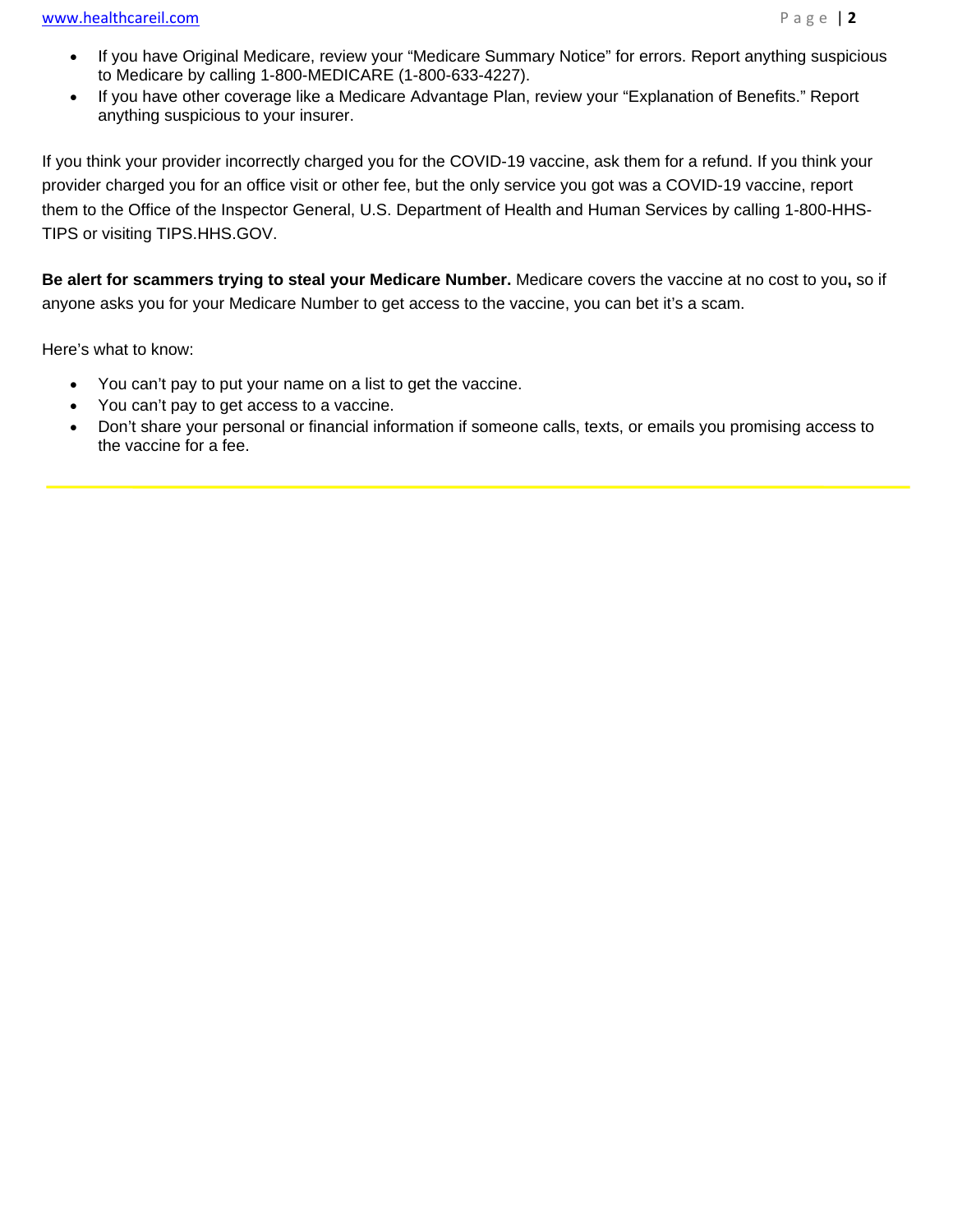- If you have Original Medicare, review your "Medicare Summary Notice" for errors. Report anything suspicious to Medicare by calling 1-800-MEDICARE (1-800-633-4227).
- If you have other coverage like a Medicare Advantage Plan, review your "Explanation of Benefits." Report anything suspicious to your insurer.

If you think your provider incorrectly charged you for the COVID-19 vaccine, ask them for a refund. If you think your provider charged you for an office visit or other fee, but the only service you got was a COVID-19 vaccine, report them to the Office of the Inspector General, U.S. Department of Health and Human Services by calling 1-800-HHS-TIPS or visiting TIPS.HHS.GOV.

**Be alert for scammers trying to steal your Medicare Number.** Medicare covers the vaccine at no cost to you**,** so if anyone asks you for your Medicare Number to get access to the vaccine, you can bet it's a scam.

Here's what to know:

I

- You can't pay to put your name on a list to get the vaccine.
- You can't pay to get access to a vaccine.
- Don't share your personal or financial information if someone calls, texts, or emails you promising access to the vaccine for a fee.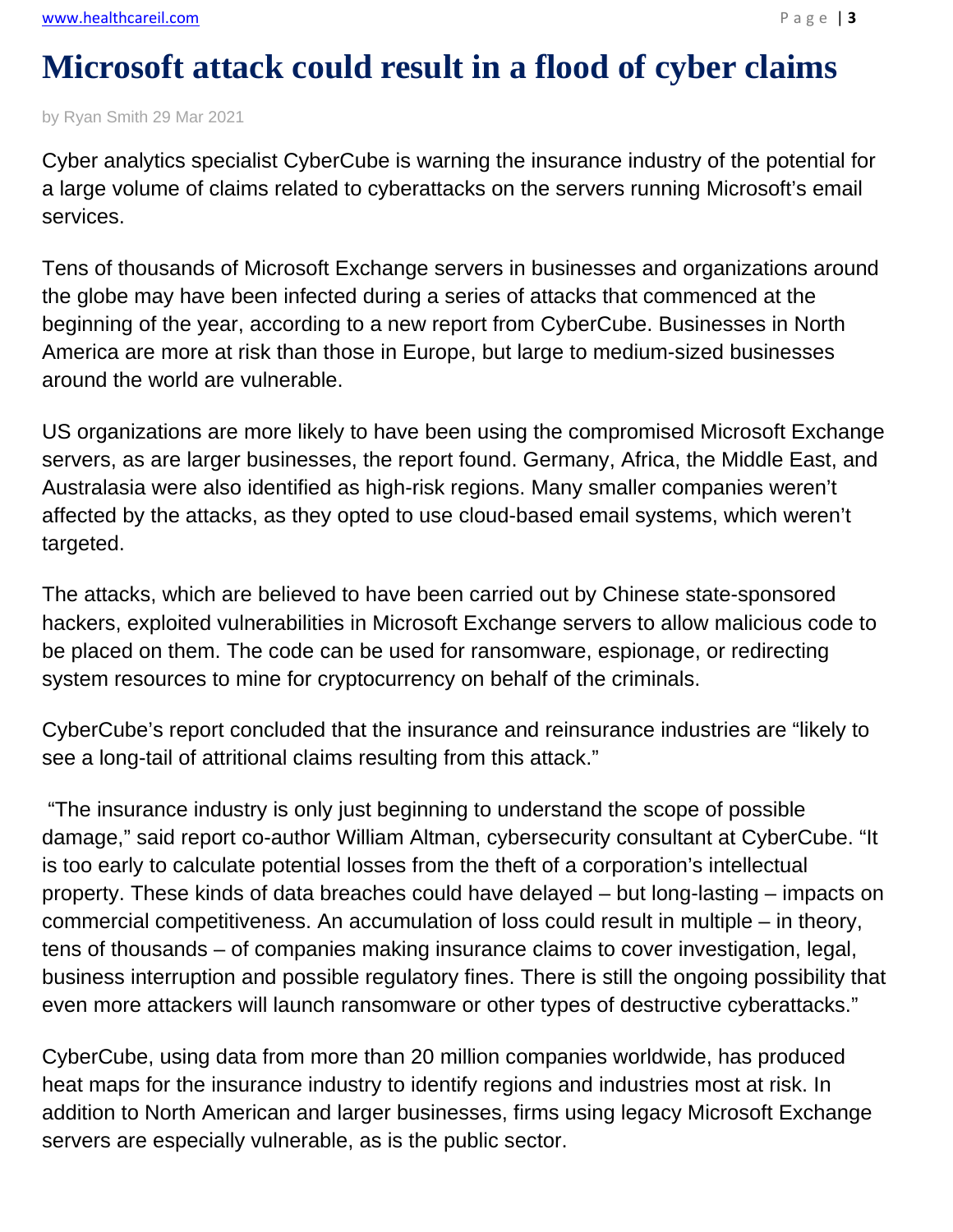## **Microsoft attack could result in a flood of cyber claims**

by Ryan Smith 29 Mar 2021

Cyber analytics specialist CyberCube is warning the insurance industry of the potential for a large volume of claims related to cyberattacks on the servers running Microsoft's email services.

Tens of thousands of Microsoft Exchange servers in businesses and organizations around the globe may have been infected during a series of attacks that commenced at the beginning of the year, according to a new report from CyberCube. Businesses in North America are more at risk than those in Europe, but large to medium-sized businesses around the world are vulnerable.

US organizations are more likely to have been using the compromised Microsoft Exchange servers, as are larger businesses, the report found. Germany, Africa, the Middle East, and Australasia were also identified as high-risk regions. Many smaller companies weren't affected by the attacks, as they opted to use cloud-based email systems, which weren't targeted.

The attacks, which are believed to have been carried out by Chinese state-sponsored hackers, exploited vulnerabilities in Microsoft Exchange servers to allow malicious code to be placed on them. The code can be used for ransomware, espionage, or redirecting system resources to mine for cryptocurrency on behalf of the criminals.

CyberCube's report concluded that the insurance and reinsurance industries are "likely to see a long-tail of attritional claims resulting from this attack."

 "The insurance industry is only just beginning to understand the scope of possible damage," said report co-author William Altman, cybersecurity consultant at CyberCube. "It is too early to calculate potential losses from the theft of a corporation's intellectual property. These kinds of data breaches could have delayed – but long-lasting – impacts on commercial competitiveness. An accumulation of loss could result in multiple – in theory, tens of thousands – of companies making insurance claims to cover investigation, legal, business interruption and possible regulatory fines. There is still the ongoing possibility that even more attackers will launch ransomware or other types of destructive cyberattacks."

CyberCube, using data from more than 20 million companies worldwide, has produced heat maps for the insurance industry to identify regions and industries most at risk. In addition to North American and larger businesses, firms using legacy Microsoft Exchange servers are especially vulnerable, as is the public sector.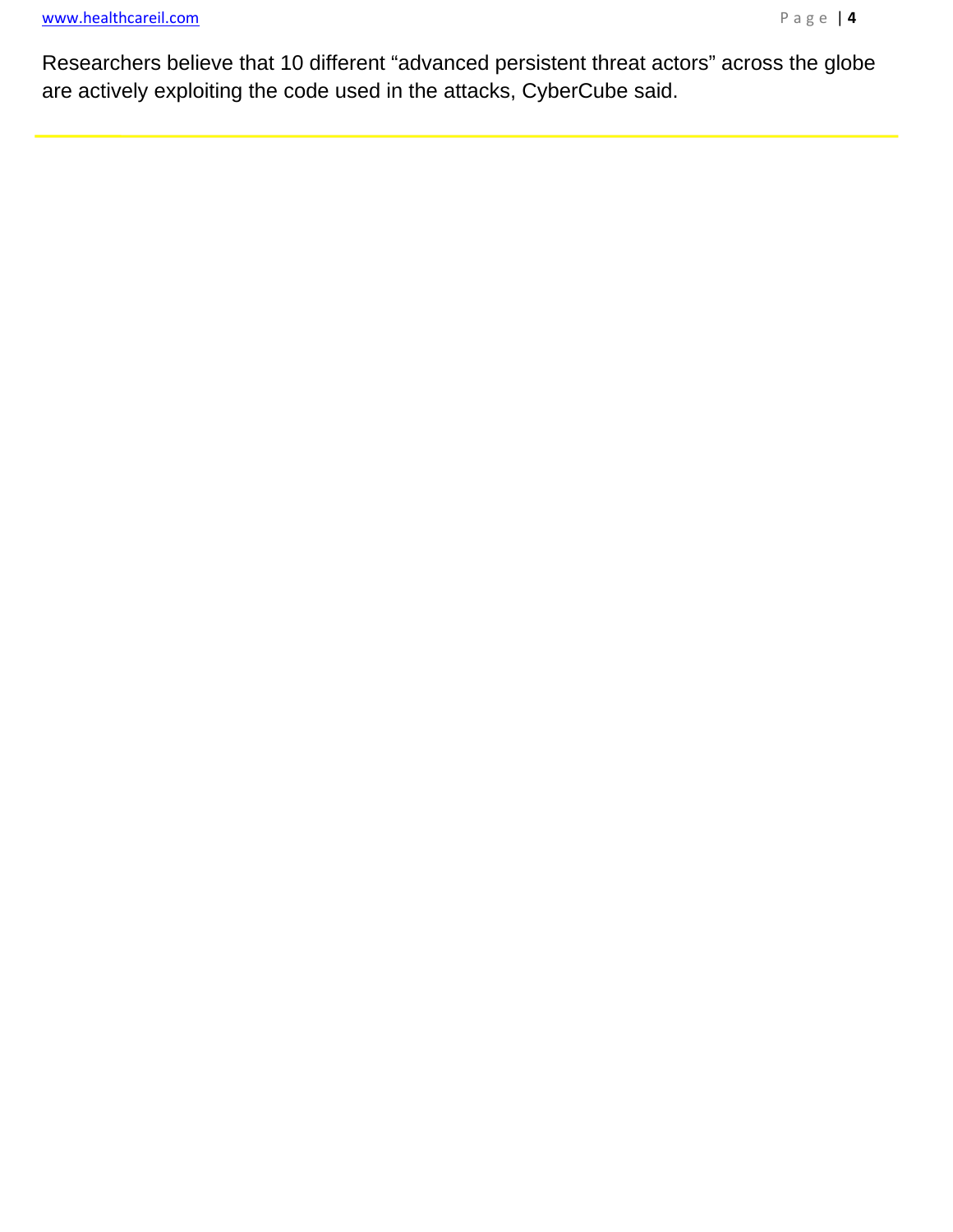ī

Researchers believe that 10 different "advanced persistent threat actors" across the globe are actively exploiting the code used in the attacks, CyberCube said.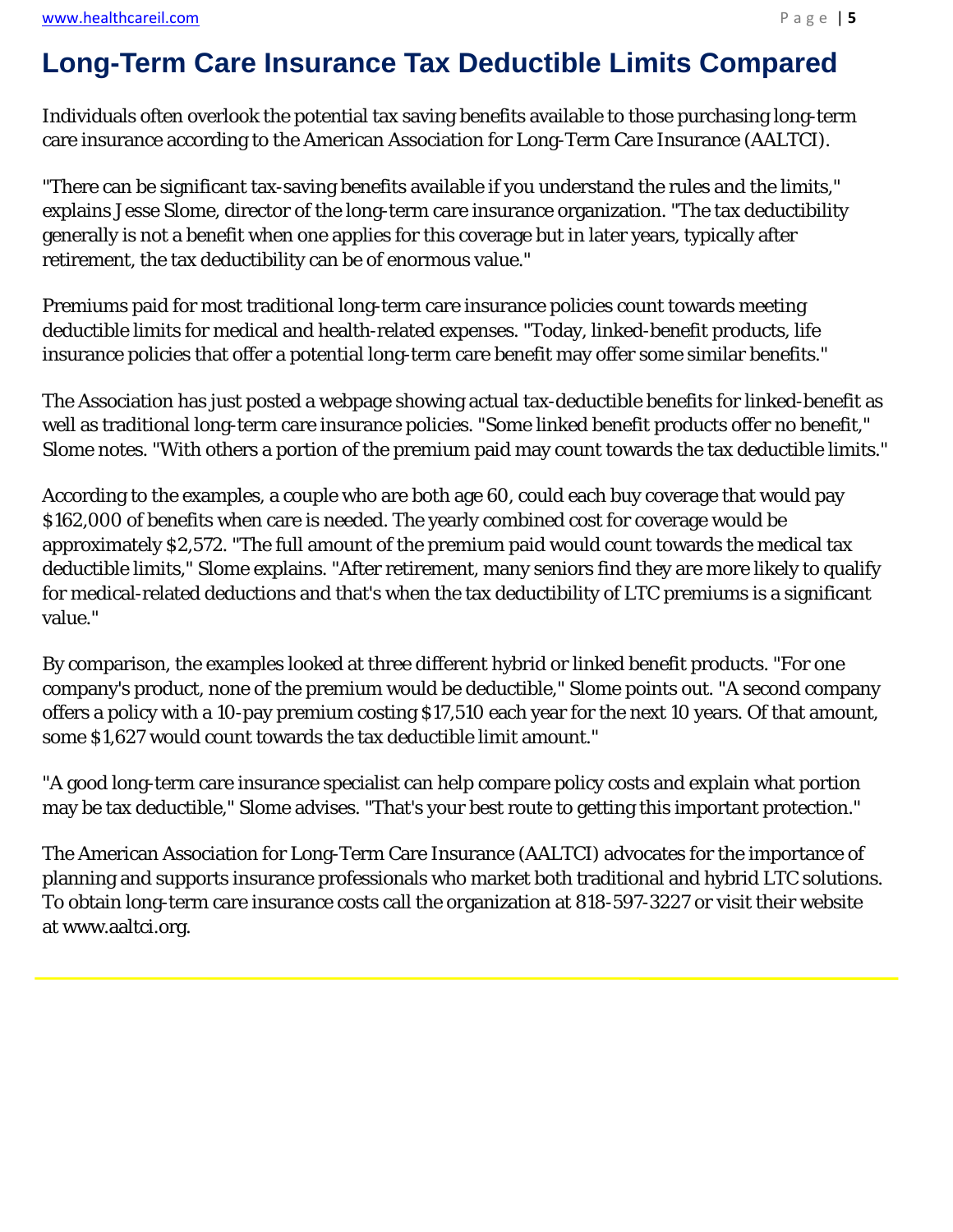l,

Individuals often overlook the potential tax saving benefits available to those purchasing long-term care insurance according to the American Association for Long-Term Care Insurance (AALTCI).

"There can be significant tax-saving benefits available if you understand the rules and the limits," explains Jesse Slome, director of the long-term care insurance organization. "The tax deductibility generally is not a benefit when one applies for this coverage but in later years, typically after retirement, the tax deductibility can be of enormous value."

Premiums paid for most traditional long-term care insurance policies count towards meeting deductible limits for medical and health-related expenses. "Today, linked-benefit products, life insurance policies that offer a potential long-term care benefit may offer some similar benefits."

The Association has just posted a webpage showing actual tax-deductible benefits for linked-benefit as well as traditional long-term care insurance policies. "Some linked benefit products offer no benefit," Slome notes. "With others a portion of the premium paid may count towards the tax deductible limits."

According to the examples, a couple who are both age 60, could each buy coverage that would pay \$162,000 of benefits when care is needed. The yearly combined cost for coverage would be approximately \$2,572. "The full amount of the premium paid would count towards the medical tax deductible limits," Slome explains. "After retirement, many seniors find they are more likely to qualify for medical-related deductions and that's when the tax deductibility of LTC premiums is a significant value."

By comparison, the examples looked at three different hybrid or linked benefit products. "For one company's product, none of the premium would be deductible," Slome points out. "A second company offers a policy with a 10-pay premium costing \$17,510 each year for the next 10 years. Of that amount, some \$1,627 would count towards the tax deductible limit amount."

"A good long-term care insurance specialist can help compare policy costs and explain what portion may be tax deductible," Slome advises. "That's your best route to getting this important protection."

The American Association for Long-Term Care Insurance (AALTCI) advocates for the importance of planning and supports insurance professionals who market both traditional and hybrid LTC solutions. To obtain long-term care insurance costs call the organization at 818-597-3227 or visit their website at www.aaltci.org.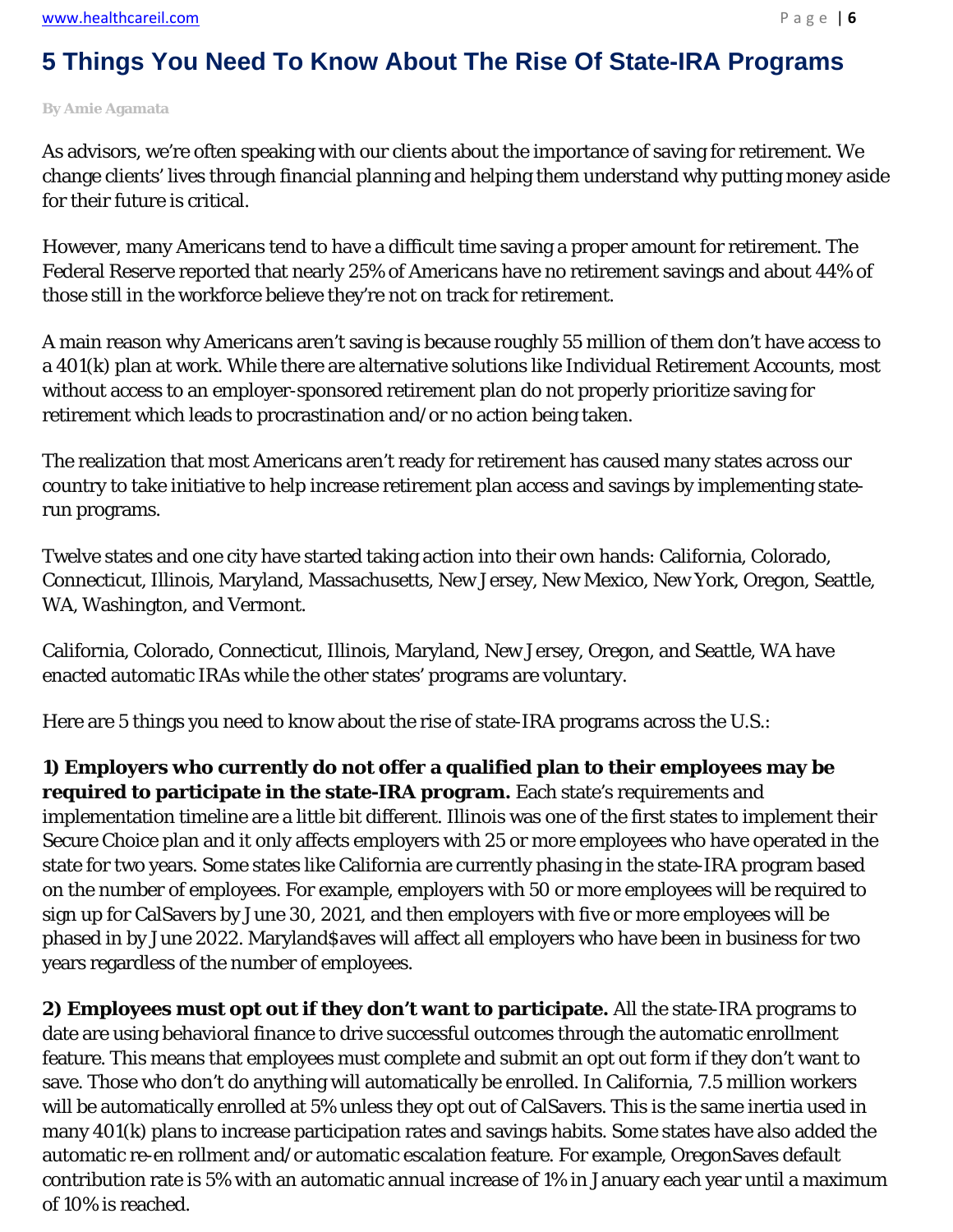## **5 Things You Need To Know About The Rise Of State-IRA Programs**

**By Amie Agamata**

As advisors, we're often speaking with our clients about the importance of saving for retirement. We change clients' lives through financial planning and helping them understand why putting money aside for their future is critical.

However, many Americans tend to have a difficult time saving a proper amount for retirement. The Federal Reserve reported that nearly 25% of Americans have no retirement savings and about 44% of those still in the workforce believe they're not on track for retirement.

A main reason why Americans aren't saving is because roughly 55 million of them don't have access to a 401(k) plan at work. While there are alternative solutions like Individual Retirement Accounts, most without access to an employer-sponsored retirement plan do not properly prioritize saving for retirement which leads to procrastination and/or no action being taken.

The realization that most Americans aren't ready for retirement has caused many states across our country to take initiative to help increase retirement plan access and savings by implementing staterun programs.

Twelve states and one city have started taking action into their own hands: California, Colorado, Connecticut, Illinois, Maryland, Massachusetts, New Jersey, New Mexico, New York, Oregon, Seattle, WA, Washington, and Vermont.

California, Colorado, Connecticut, Illinois, Maryland, New Jersey, Oregon, and Seattle, WA have enacted automatic IRAs while the other states' programs are voluntary.

Here are 5 things you need to know about the rise of state-IRA programs across the U.S.:

**1) Employers who currently do not offer a qualified plan to their employees may be required to participate in the state-IRA program.** Each state's requirements and implementation timeline are a little bit different. Illinois was one of the first states to implement their Secure Choice plan and it only affects employers with 25 or more employees who have operated in the state for two years. Some states like California are currently phasing in the state-IRA program based on the number of employees. For example, employers with 50 or more employees will be required to sign up for CalSavers by June 30, 2021, and then employers with five or more employees will be phased in by June 2022. Maryland\$aves will affect all employers who have been in business for two years regardless of the number of employees.

**2) Employees must opt out if they don't want to participate.** All the state-IRA programs to date are using behavioral finance to drive successful outcomes through the automatic enrollment feature. This means that employees must complete and submit an opt out form if they don't want to save. Those who don't do anything will automatically be enrolled. In California, 7.5 million workers will be automatically enrolled at 5% unless they opt out of CalSavers. This is the same inertia used in many 401(k) plans to increase participation rates and savings habits. Some states have also added the automatic re-en rollment and/or automatic escalation feature. For example, OregonSaves default contribution rate is 5% with an automatic annual increase of 1% in January each year until a maximum of 10% is reached.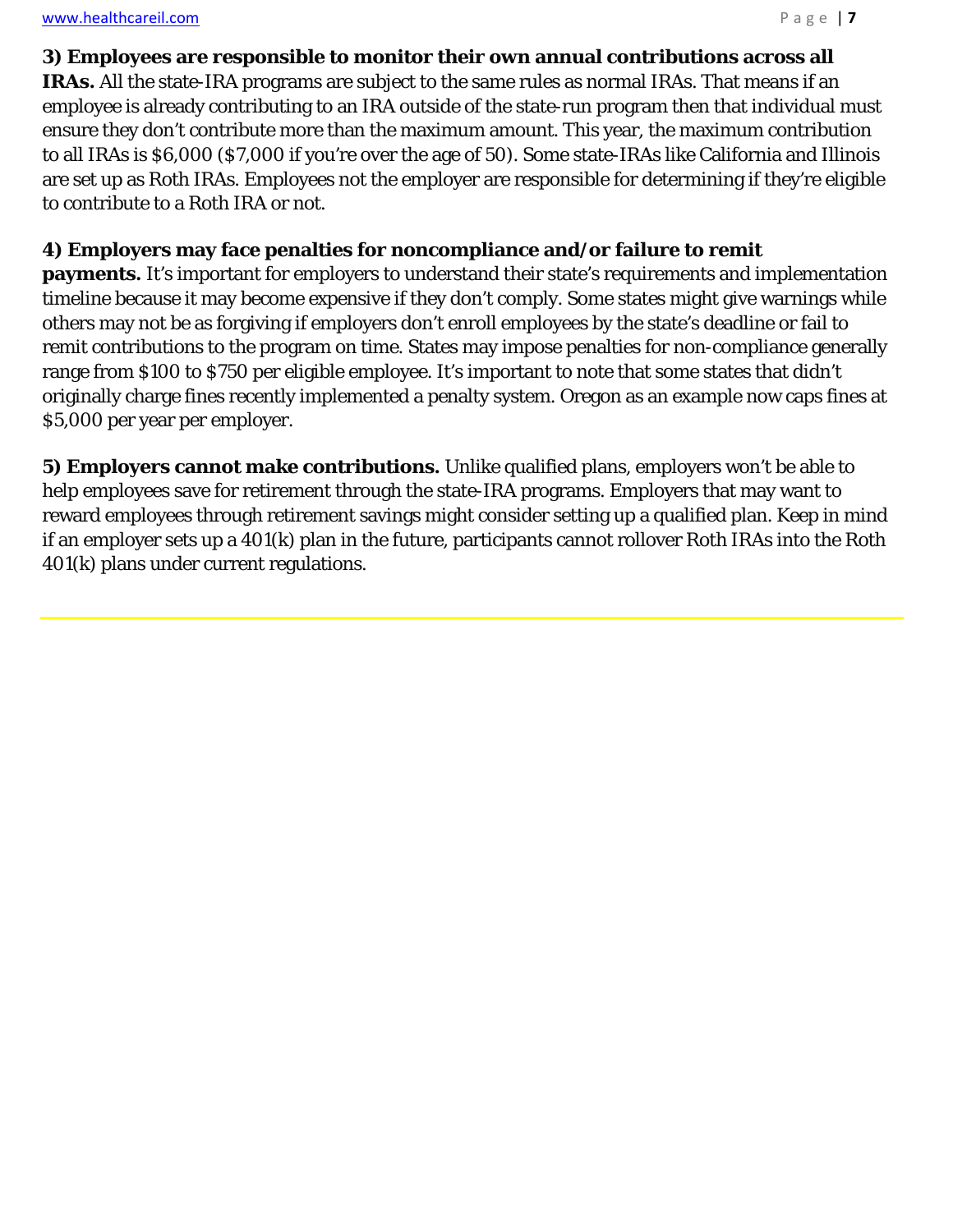l,

### **3) Employees are responsible to monitor their own annual contributions across all**

**IRAs.** All the state-IRA programs are subject to the same rules as normal IRAs. That means if an employee is already contributing to an IRA outside of the state-run program then that individual must ensure they don't contribute more than the maximum amount. This year, the maximum contribution to all IRAs is \$6,000 (\$7,000 if you're over the age of 50). Some state-IRAs like California and Illinois are set up as Roth IRAs. Employees not the employer are responsible for determining if they're eligible to contribute to a Roth IRA or not.

### **4) Employers may face penalties for noncompliance and/or failure to remit**

**payments.** It's important for employers to understand their state's requirements and implementation timeline because it may become expensive if they don't comply. Some states might give warnings while others may not be as forgiving if employers don't enroll employees by the state's deadline or fail to remit contributions to the program on time. States may impose penalties for non-compliance generally range from \$100 to \$750 per eligible employee. It's important to note that some states that didn't originally charge fines recently implemented a penalty system. Oregon as an example now caps fines at \$5,000 per year per employer.

**5) Employers cannot make contributions.** Unlike qualified plans, employers won't be able to help employees save for retirement through the state-IRA programs. Employers that may want to reward employees through retirement savings might consider setting up a qualified plan. Keep in mind if an employer sets up a 401(k) plan in the future, participants cannot rollover Roth IRAs into the Roth 401(k) plans under current regulations.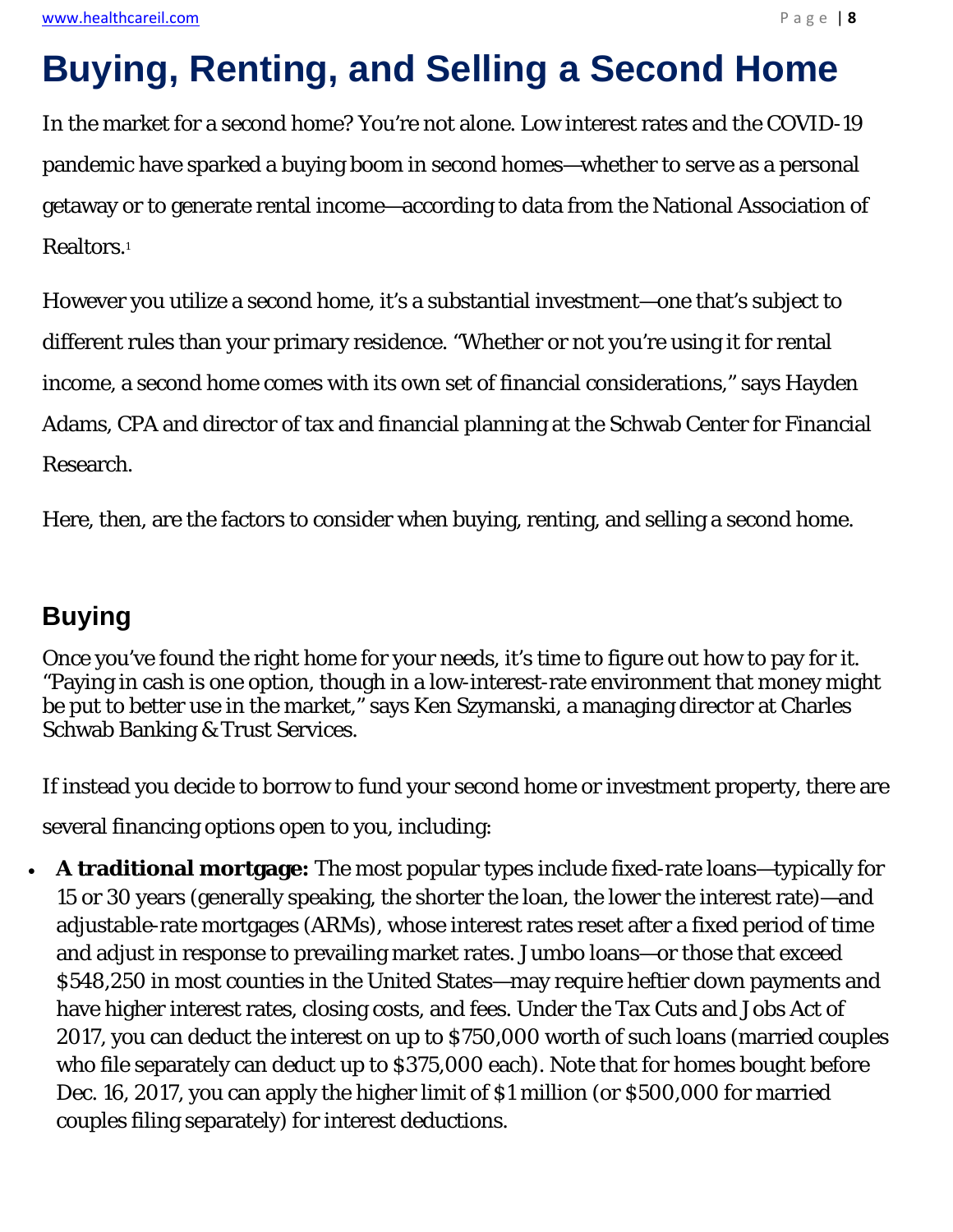# **Buying, Renting, and Selling a Second Home**

In the market for a second home? You're not alone. Low interest rates and the COVID-19 pandemic have sparked a buying boom in second homes—whether to serve as a personal getaway or to generate rental income—according to data from the National Association of Realtors.1

However you utilize a second home, it's a substantial investment—one that's subject to different rules than your primary residence. "Whether or not you're using it for rental income, a second home comes with its own set of financial considerations," says Hayden Adams, CPA and director of tax and financial planning at the Schwab Center for Financial Research.

Here, then, are the factors to consider when buying, renting, and selling a second home.

## **Buying**

Once you've found the right home for your needs, it's time to figure out how to pay for it. "Paying in cash is one option, though in a low-interest-rate environment that money might be put to better use in the market," says Ken Szymanski, a managing director at Charles Schwab Banking & Trust Services.

If instead you decide to borrow to fund your second home or investment property, there are

several financing options open to you, including:

 **A traditional mortgage:** The most popular types include fixed-rate loans—typically for 15 or 30 years (generally speaking, the shorter the loan, the lower the interest rate)—and adjustable-rate mortgages (ARMs), whose interest rates reset after a fixed period of time and adjust in response to prevailing market rates. Jumbo loans—or those that exceed \$548,250 in most counties in the United States—may require heftier down payments and have higher interest rates, closing costs, and fees. Under the Tax Cuts and Jobs Act of 2017, you can deduct the interest on up to \$750,000 worth of such loans (married couples who file separately can deduct up to \$375,000 each). Note that for homes bought before Dec. 16, 2017, you can apply the higher limit of \$1 million (or \$500,000 for married couples filing separately) for interest deductions.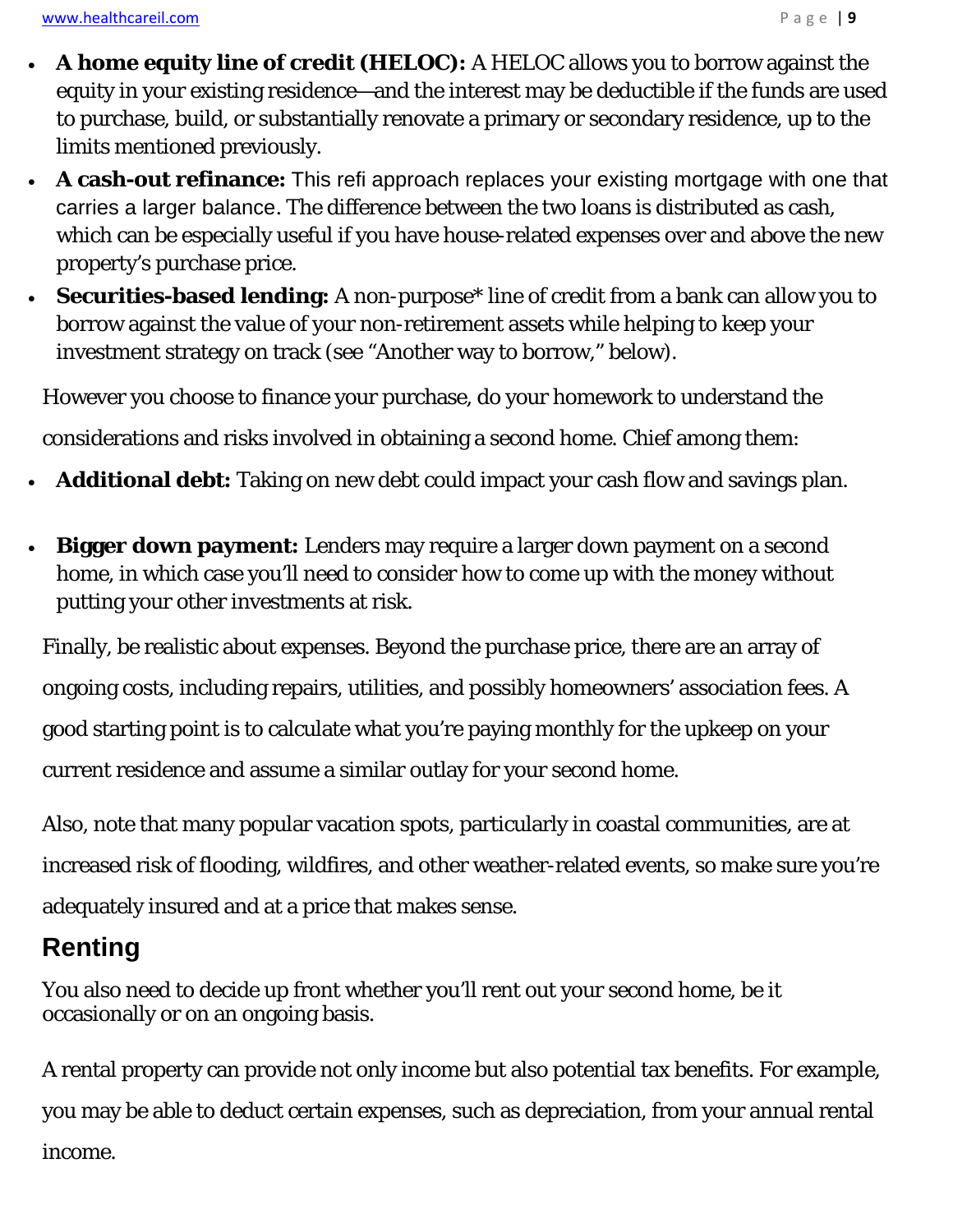www.healthcareil.com **Page | 9** 

- **A home equity line of credit (HELOC):** A HELOC allows you to borrow against the equity in your existing residence—and the interest may be deductible if the funds are used to purchase, build, or substantially renovate a primary or secondary residence, up to the limits mentioned previously.
- **A cash-out refinance:** This refi approach replaces your existing mortgage with one that carries a larger balance. The difference between the two loans is distributed as cash, which can be especially useful if you have house-related expenses over and above the new property's purchase price.
- **Securities-based lending:** A non-purpose\* line of credit from a bank can allow you to borrow against the value of your non-retirement assets while helping to keep your investment strategy on track (see "Another way to borrow," below).

However you choose to finance your purchase, do your homework to understand the

considerations and risks involved in obtaining a second home. Chief among them:

- **Additional debt:** Taking on new debt could impact your cash flow and savings plan.
- **Bigger down payment:** Lenders may require a larger down payment on a second home, in which case you'll need to consider how to come up with the money without putting your other investments at risk.

Finally, be realistic about expenses. Beyond the purchase price, there are an array of ongoing costs, including repairs, utilities, and possibly homeowners' association fees. A good starting point is to calculate what you're paying monthly for the upkeep on your current residence and assume a similar outlay for your second home.

Also, note that many popular vacation spots, particularly in coastal communities, are at increased risk of flooding, wildfires, and other weather-related events, so make sure you're adequately insured and at a price that makes sense.

## **Renting**

You also need to decide up front whether you'll rent out your second home, be it occasionally or on an ongoing basis.

A rental property can provide not only income but also potential tax benefits. For example, you may be able to deduct certain expenses, such as depreciation, from your annual rental income.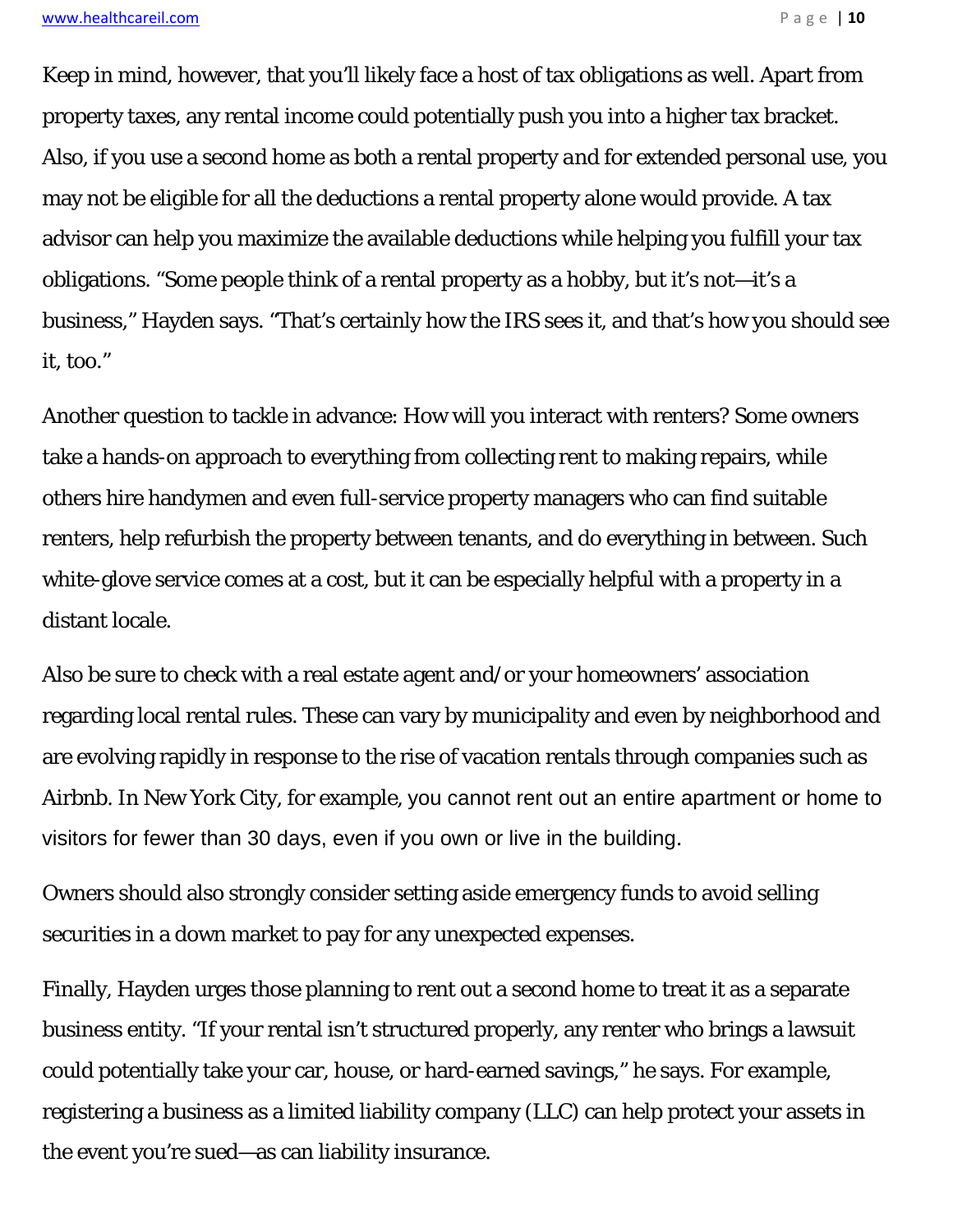Keep in mind, however, that you'll likely face a host of tax obligations as well. Apart from property taxes, any rental income could potentially push you into a higher tax bracket. Also, if you use a second home as both a rental property *and* for extended personal use, you may not be eligible for all the deductions a rental property alone would provide. A tax advisor can help you maximize the available deductions while helping you fulfill your tax obligations. "Some people think of a rental property as a hobby, but it's not—it's a business," Hayden says. "That's certainly how the IRS sees it, and that's how you should see it, too."

Another question to tackle in advance: How will you interact with renters? Some owners take a hands-on approach to everything from collecting rent to making repairs, while others hire handymen and even full-service property managers who can find suitable renters, help refurbish the property between tenants, and do everything in between. Such white-glove service comes at a cost, but it can be especially helpful with a property in a distant locale.

Also be sure to check with a real estate agent and/or your homeowners' association regarding local rental rules. These can vary by municipality and even by neighborhood and are evolving rapidly in response to the rise of vacation rentals through companies such as Airbnb. In New York City, for example, you cannot rent out an entire apartment or home to visitors for fewer than 30 days, even if you own or live in the building.

Owners should also strongly consider setting aside emergency funds to avoid selling securities in a down market to pay for any unexpected expenses.

Finally, Hayden urges those planning to rent out a second home to treat it as a separate business entity. "If your rental isn't structured properly, any renter who brings a lawsuit could potentially take your car, house, or hard-earned savings," he says. For example, registering a business as a limited liability company (LLC) can help protect your assets in the event you're sued—as can liability insurance.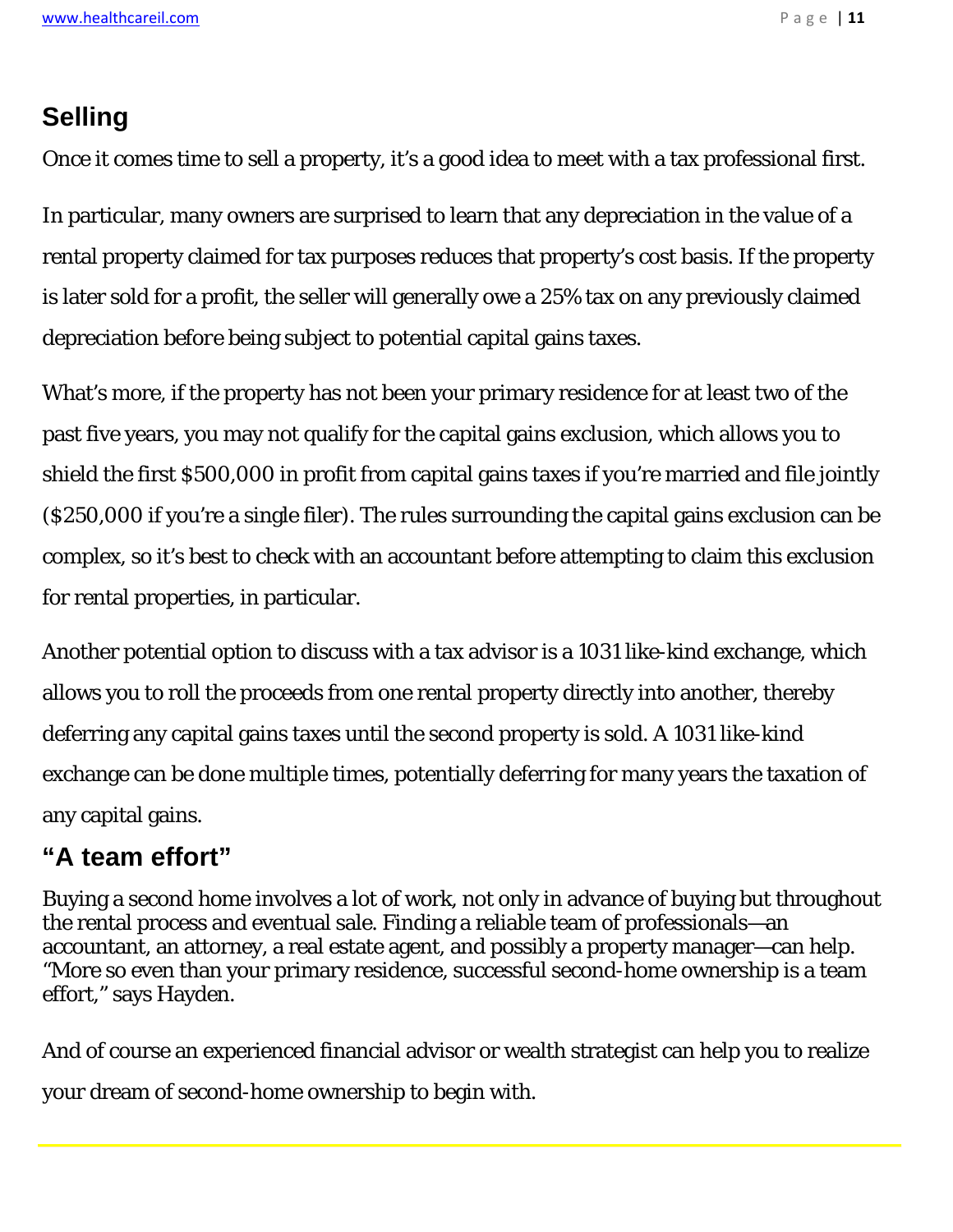## **Selling**

Once it comes time to sell a property, it's a good idea to meet with a tax professional first.

In particular, many owners are surprised to learn that any depreciation in the value of a rental property claimed for tax purposes reduces that property's cost basis. If the property is later sold for a profit, the seller will generally owe a 25% tax on any previously claimed depreciation *before* being subject to potential capital gains taxes.

What's more, if the property has not been your primary residence for at least two of the past five years, you may not qualify for the capital gains exclusion, which allows you to shield the first \$500,000 in profit from capital gains taxes if you're married and file jointly (\$250,000 if you're a single filer). The rules surrounding the capital gains exclusion can be complex, so it's best to check with an accountant before attempting to claim this exclusion for rental properties, in particular.

Another potential option to discuss with a tax advisor is a 1031 like-kind exchange, which allows you to roll the proceeds from one rental property directly into another, thereby deferring any capital gains taxes until the second property is sold. A 1031 like-kind exchange can be done multiple times, potentially deferring for many years the taxation of any capital gains.

## **"A team effort"**

Buying a second home involves a lot of work, not only in advance of buying but throughout the rental process and eventual sale. Finding a reliable team of professionals—an accountant, an attorney, a real estate agent, and possibly a property manager—can help. "More so even than your primary residence, successful second-home ownership is a team effort," says Hayden.

And of course an experienced financial advisor or wealth strategist can help you to realize your dream of second-home ownership to begin with.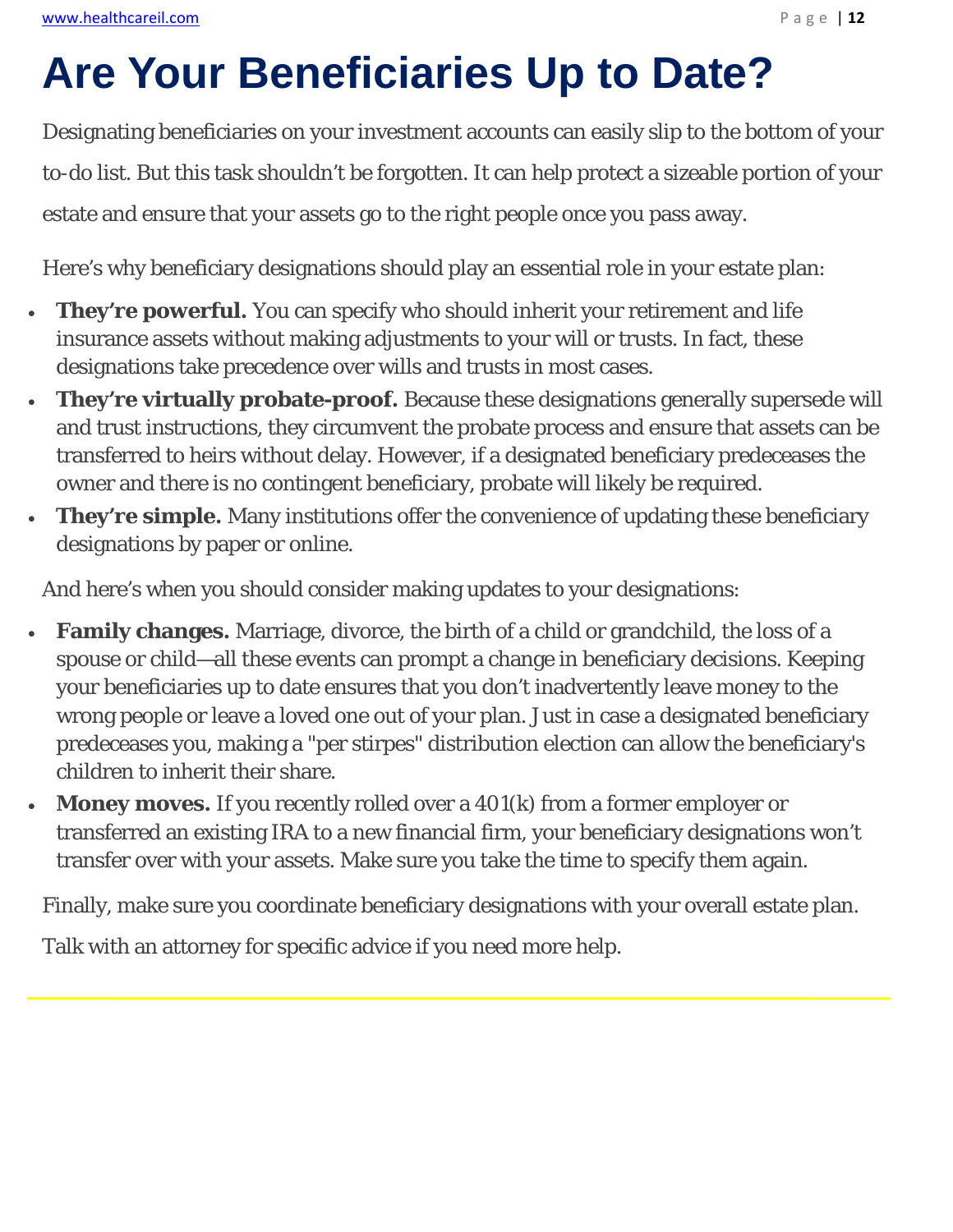# **Are Your Beneficiaries Up to Date?**

Designating beneficiaries on your investment accounts can easily slip to the bottom of your to-do list. But this task shouldn't be forgotten. It can help protect a sizeable portion of your estate and ensure that your assets go to the right people once you pass away.

Here's why beneficiary designations should play an essential role in your estate plan:

- **They're powerful.** You can specify who should inherit your retirement and life insurance assets without making adjustments to your will or trusts. In fact, these designations take precedence over wills and trusts in most cases.
- **They're virtually probate-proof.** Because these designations generally supersede will and trust instructions, they circumvent the probate process and ensure that assets can be transferred to heirs without delay. However, if a designated beneficiary predeceases the owner and there is no contingent beneficiary, probate will likely be required.
- **They're simple.** Many institutions offer the convenience of updating these beneficiary designations by paper or online.

And here's when you should consider making updates to your designations:

- **Family changes.** Marriage, divorce, the birth of a child or grandchild, the loss of a spouse or child—all these events can prompt a change in beneficiary decisions. Keeping your beneficiaries up to date ensures that you don't inadvertently leave money to the wrong people or leave a loved one out of your plan. Just in case a designated beneficiary predeceases you, making a "per stirpes" distribution election can allow the beneficiary's children to inherit their share.
- **Money moves.** If you recently rolled over a 401(k) from a former employer or transferred an existing IRA to a new financial firm, your beneficiary designations won't transfer over with your assets. Make sure you take the time to specify them again.

Finally, make sure you coordinate beneficiary designations with your overall estate plan.

Talk with an attorney for specific advice if you need more help.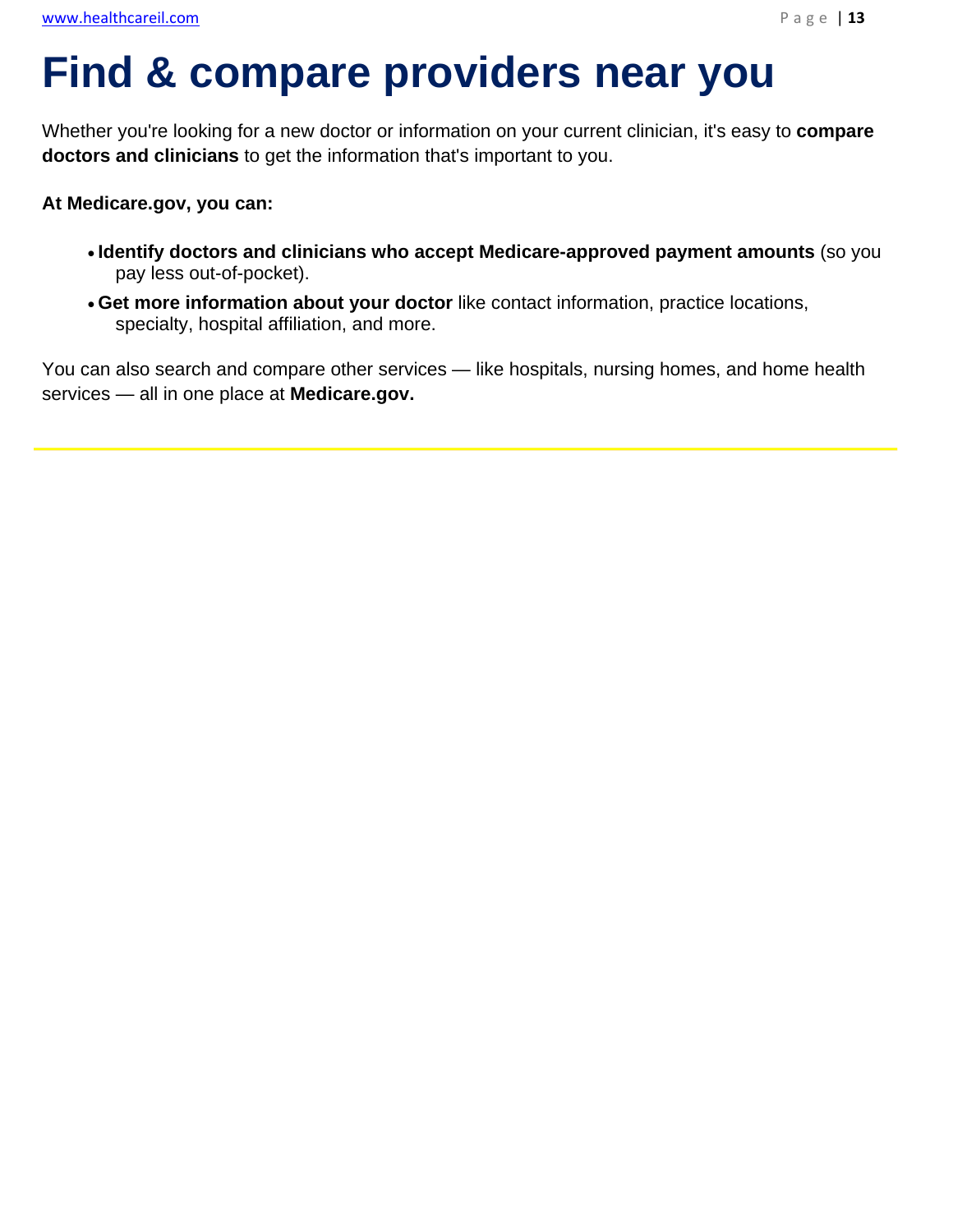# **Find & compare providers near you**

Whether you're looking for a new doctor or information on your current clinician, it's easy to **compare doctors and clinicians** to get the information that's important to you.

#### **At Medicare.gov, you can:**

l,

- **Identify doctors and clinicians who accept Medicare-approved payment amounts** (so you pay less out-of-pocket).
- **Get more information about your doctor** like contact information, practice locations, specialty, hospital affiliation, and more.

You can also search and compare other services — like hospitals, nursing homes, and home health services — all in one place at **Medicare.gov.**